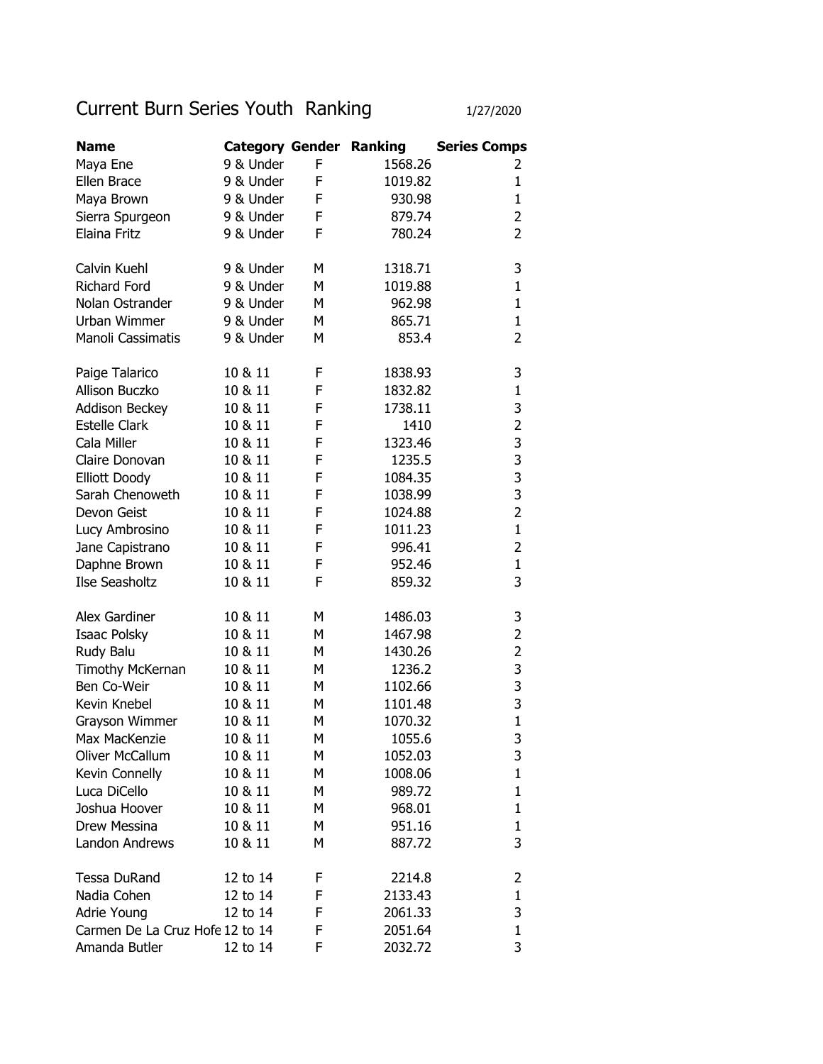## Current Burn Series Youth Ranking 1/27/2020

| <b>Name</b>                     | <b>Category Gender Ranking</b> |   |         | <b>Series Comps</b> |
|---------------------------------|--------------------------------|---|---------|---------------------|
| Maya Ene                        | 9 & Under                      | F | 1568.26 | 2                   |
| Ellen Brace                     | 9 & Under                      | F | 1019.82 | $\mathbf{1}$        |
| Maya Brown                      | 9 & Under                      | F | 930.98  | $\mathbf{1}$        |
| Sierra Spurgeon                 | 9 & Under                      | F | 879.74  | 2                   |
| <b>Elaina Fritz</b>             | 9 & Under                      | F | 780.24  | $\overline{2}$      |
|                                 |                                |   |         |                     |
| Calvin Kuehl                    | 9 & Under                      | М | 1318.71 | 3                   |
| <b>Richard Ford</b>             | 9 & Under                      | М | 1019.88 | $\mathbf{1}$        |
| Nolan Ostrander                 | 9 & Under                      | М | 962.98  | $\mathbf{1}$        |
| Urban Wimmer                    | 9 & Under                      | М | 865.71  | $\mathbf{1}$        |
| Manoli Cassimatis               | 9 & Under                      | М | 853.4   | $\overline{2}$      |
| Paige Talarico                  | 10 & 11                        | F | 1838.93 | 3                   |
| Allison Buczko                  | 10 & 11                        | F | 1832.82 | $\mathbf{1}$        |
| <b>Addison Beckey</b>           | 10 & 11                        | F | 1738.11 | 3                   |
| <b>Estelle Clark</b>            | 10 & 11                        | F | 1410    | $\overline{2}$      |
| Cala Miller                     | 10 & 11                        | F | 1323.46 |                     |
| Claire Donovan                  | 10 & 11                        | F | 1235.5  | $\frac{3}{3}$       |
| <b>Elliott Doody</b>            | 10 & 11                        | F | 1084.35 | 3                   |
| Sarah Chenoweth                 | 10 & 11                        | F | 1038.99 | 3                   |
| Devon Geist                     | 10 & 11                        | F | 1024.88 | $\overline{2}$      |
| Lucy Ambrosino                  | 10 & 11                        | F | 1011.23 | $\mathbf{1}$        |
| Jane Capistrano                 | 10 & 11                        | F | 996.41  | $\overline{2}$      |
| Daphne Brown                    | 10 & 11                        | F | 952.46  | $\mathbf{1}$        |
| Ilse Seasholtz                  | 10 & 11                        | F | 859.32  | 3                   |
|                                 |                                |   |         |                     |
| Alex Gardiner                   | 10 & 11                        | М | 1486.03 | 3                   |
| Isaac Polsky                    | 10 & 11                        | М | 1467.98 | 2                   |
| Rudy Balu                       | 10 & 11                        | М | 1430.26 | $\overline{2}$      |
| Timothy McKernan                | 10 & 11                        | М | 1236.2  | 3                   |
| Ben Co-Weir                     | 10 & 11                        | М | 1102.66 | 3                   |
| Kevin Knebel                    | 10 & 11                        | М | 1101.48 | 3                   |
| Grayson Wimmer                  | 10 & 11                        | М | 1070.32 | $\mathbf{1}$        |
| Max MacKenzie                   | 10 & 11                        | М | 1055.6  | 3                   |
| Oliver McCallum                 | 10 & 11                        | м | 1052.03 | 3                   |
| Kevin Connelly                  | 10 & 11                        | М | 1008.06 | $\mathbf{1}$        |
| Luca DiCello                    | 10 & 11                        | М | 989.72  | 1                   |
| Joshua Hoover                   | 10 & 11                        | М | 968.01  | 1                   |
| Drew Messina                    | 10 & 11                        | М | 951.16  | $\mathbf{1}$        |
| <b>Landon Andrews</b>           | 10 & 11                        | М | 887.72  | 3                   |
| <b>Tessa DuRand</b>             | 12 to 14                       | F | 2214.8  | 2                   |
| Nadia Cohen                     | 12 to 14                       | F | 2133.43 | 1                   |
| Adrie Young                     | 12 to 14                       | F | 2061.33 | 3                   |
| Carmen De La Cruz Hofe 12 to 14 |                                | F | 2051.64 | $\mathbf 1$         |
| Amanda Butler                   | 12 to 14                       | F | 2032.72 | 3                   |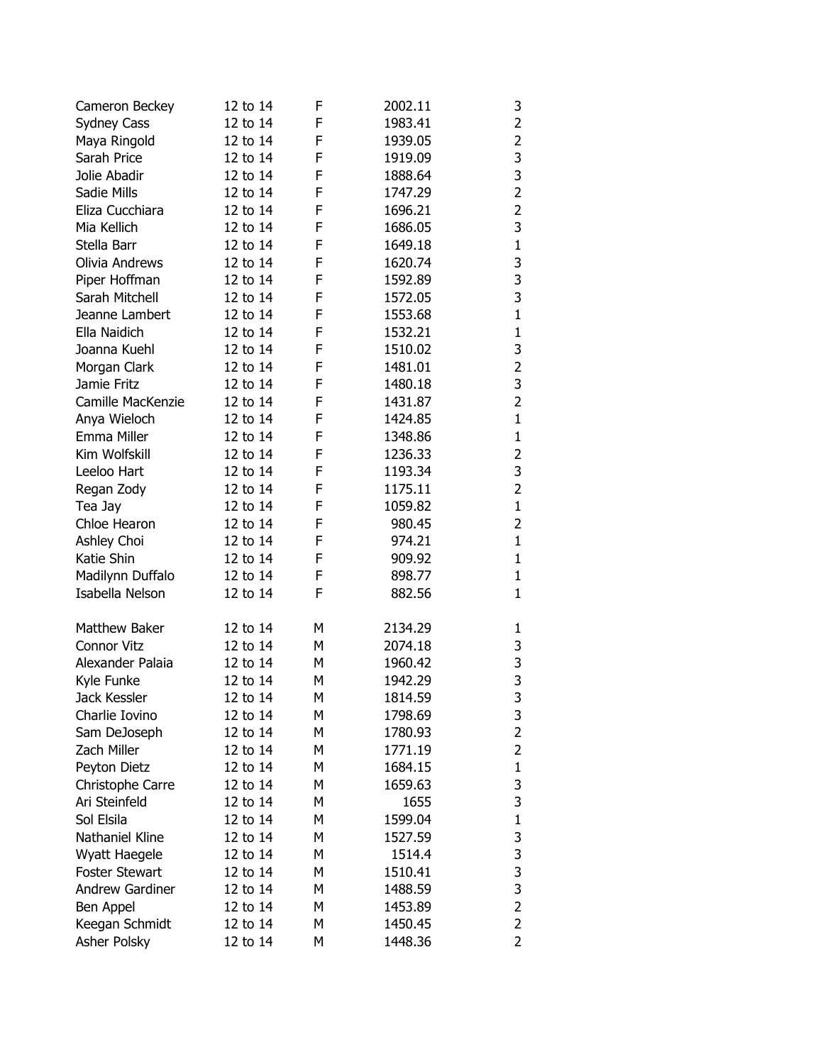| Cameron Beckey         | 12 to 14 | F | 2002.11 | 3              |
|------------------------|----------|---|---------|----------------|
| <b>Sydney Cass</b>     | 12 to 14 | F | 1983.41 | $\overline{2}$ |
| Maya Ringold           | 12 to 14 | F | 1939.05 | $\overline{2}$ |
| Sarah Price            | 12 to 14 | F | 1919.09 | 3              |
| Jolie Abadir           | 12 to 14 | F | 1888.64 | 3              |
| Sadie Mills            | 12 to 14 | F | 1747.29 | $\overline{2}$ |
| Eliza Cucchiara        | 12 to 14 | F | 1696.21 | $\overline{2}$ |
| Mia Kellich            | 12 to 14 | F | 1686.05 | 3              |
| Stella Barr            | 12 to 14 | F | 1649.18 | $\mathbf 1$    |
| Olivia Andrews         | 12 to 14 | F | 1620.74 | 3              |
| Piper Hoffman          | 12 to 14 | F | 1592.89 | 3              |
| Sarah Mitchell         | 12 to 14 | F | 1572.05 | 3              |
| Jeanne Lambert         | 12 to 14 | F | 1553.68 | $\mathbf{1}$   |
| Ella Naidich           | 12 to 14 | F | 1532.21 | $\mathbf{1}$   |
| Joanna Kuehl           | 12 to 14 | F | 1510.02 | 3              |
| Morgan Clark           | 12 to 14 | F | 1481.01 | $\overline{2}$ |
| Jamie Fritz            | 12 to 14 | F | 1480.18 | 3              |
| Camille MacKenzie      | 12 to 14 | F | 1431.87 | $\overline{2}$ |
| Anya Wieloch           | 12 to 14 | F | 1424.85 | $\mathbf{1}$   |
| Emma Miller            | 12 to 14 | F | 1348.86 | $\mathbf{1}$   |
| Kim Wolfskill          | 12 to 14 | F | 1236.33 | $\overline{2}$ |
| Leeloo Hart            | 12 to 14 | F | 1193.34 | 3              |
| Regan Zody             | 12 to 14 | F | 1175.11 | $\overline{2}$ |
| Tea Jay                | 12 to 14 | F | 1059.82 | $\mathbf{1}$   |
| Chloe Hearon           | 12 to 14 | F | 980.45  | $\overline{2}$ |
| Ashley Choi            | 12 to 14 | F | 974.21  | $\mathbf{1}$   |
| Katie Shin             | 12 to 14 | F | 909.92  | $\mathbf{1}$   |
| Madilynn Duffalo       | 12 to 14 | F | 898.77  | $\mathbf{1}$   |
| Isabella Nelson        | 12 to 14 | F | 882.56  | 1              |
|                        |          |   |         |                |
| Matthew Baker          | 12 to 14 | М | 2134.29 | 1              |
| Connor Vitz            | 12 to 14 | М | 2074.18 | 3              |
| Alexander Palaia       | 12 to 14 | М | 1960.42 | 3              |
| Kyle Funke             | 12 to 14 | м | 1942.29 | 3              |
| Jack Kessler           | 12 to 14 | Μ | 1814.59 | 3              |
| Charlie Iovino         | 12 to 14 | М | 1798.69 | 3              |
| Sam DeJoseph           | 12 to 14 | М | 1780.93 | 2              |
| Zach Miller            | 12 to 14 | М | 1771.19 | 2              |
| Peyton Dietz           | 12 to 14 | М | 1684.15 | $\mathbf{1}$   |
| Christophe Carre       | 12 to 14 | м | 1659.63 | 3              |
| Ari Steinfeld          | 12 to 14 | М | 1655    | 3              |
| Sol Elsila             | 12 to 14 | М | 1599.04 | 1              |
| Nathaniel Kline        | 12 to 14 | М | 1527.59 | 3              |
| Wyatt Haegele          | 12 to 14 | м | 1514.4  | 3              |
| <b>Foster Stewart</b>  | 12 to 14 | М | 1510.41 | 3              |
| <b>Andrew Gardiner</b> | 12 to 14 | М | 1488.59 | 3              |
| Ben Appel              | 12 to 14 | М | 1453.89 | 2              |
| Keegan Schmidt         | 12 to 14 | М | 1450.45 | 2              |
| Asher Polsky           | 12 to 14 | М | 1448.36 | 2              |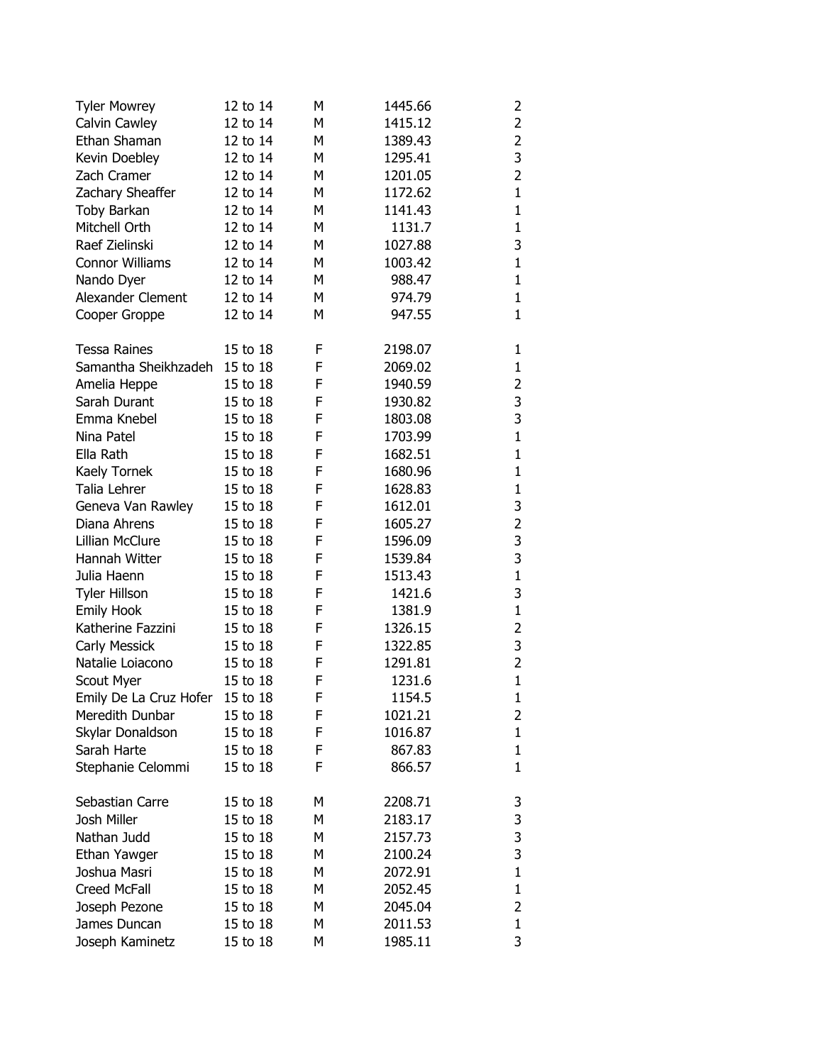| <b>Tyler Mowrey</b>             | 12 to 14 | М | 1445.66 | 2              |
|---------------------------------|----------|---|---------|----------------|
| Calvin Cawley                   | 12 to 14 | М | 1415.12 | $\overline{2}$ |
| Ethan Shaman                    | 12 to 14 | М | 1389.43 | $\overline{2}$ |
| Kevin Doebley                   | 12 to 14 | М | 1295.41 | 3              |
| Zach Cramer                     | 12 to 14 | М | 1201.05 | $\overline{2}$ |
| Zachary Sheaffer                | 12 to 14 | М | 1172.62 | $\mathbf{1}$   |
| Toby Barkan                     | 12 to 14 | М | 1141.43 | $\mathbf{1}$   |
| Mitchell Orth                   | 12 to 14 | М | 1131.7  | $\mathbf{1}$   |
| Raef Zielinski                  | 12 to 14 | М | 1027.88 | 3              |
| <b>Connor Williams</b>          | 12 to 14 | М | 1003.42 | $\mathbf{1}$   |
| Nando Dyer                      | 12 to 14 | М | 988.47  | $\mathbf{1}$   |
| Alexander Clement               | 12 to 14 | М | 974.79  | $\mathbf{1}$   |
| Cooper Groppe                   | 12 to 14 | М | 947.55  | $\mathbf{1}$   |
| <b>Tessa Raines</b>             | 15 to 18 | F | 2198.07 | 1              |
| Samantha Sheikhzadeh            | 15 to 18 | F | 2069.02 | $\mathbf{1}$   |
| Amelia Heppe                    | 15 to 18 | F | 1940.59 | 2              |
| Sarah Durant                    | 15 to 18 | F | 1930.82 | 3              |
| Emma Knebel                     | 15 to 18 | F | 1803.08 | 3              |
| Nina Patel                      | 15 to 18 | F | 1703.99 | $\mathbf{1}$   |
| Ella Rath                       | 15 to 18 | F | 1682.51 | $\mathbf{1}$   |
| Kaely Tornek                    | 15 to 18 | F | 1680.96 | $\mathbf{1}$   |
| Talia Lehrer                    | 15 to 18 | F | 1628.83 | $\mathbf 1$    |
| Geneva Van Rawley               | 15 to 18 | F | 1612.01 | 3              |
| Diana Ahrens                    | 15 to 18 | F | 1605.27 | $\overline{2}$ |
| Lillian McClure                 | 15 to 18 | F | 1596.09 | 3              |
| Hannah Witter                   | 15 to 18 | F | 1539.84 | 3              |
| Julia Haenn                     | 15 to 18 | F | 1513.43 | $\mathbf{1}$   |
| <b>Tyler Hillson</b>            | 15 to 18 | F | 1421.6  | 3              |
| Emily Hook                      | 15 to 18 | F | 1381.9  | $\mathbf{1}$   |
| Katherine Fazzini               | 15 to 18 | F | 1326.15 | 2              |
| Carly Messick                   | 15 to 18 | F | 1322.85 | 3              |
| Natalie Loiacono                | 15 to 18 | F | 1291.81 | $\overline{2}$ |
| Scout Myer                      | 15 to 18 | F | 1231.6  | $\mathbf{1}$   |
| Emily De La Cruz Hofer 15 to 18 |          | F | 1154.5  | $\mathbf{1}$   |
| Meredith Dunbar                 | 15 to 18 | F | 1021.21 | 2              |
| Skylar Donaldson                | 15 to 18 | F | 1016.87 | $\mathbf{1}$   |
| Sarah Harte                     | 15 to 18 | F | 867.83  | 1              |
| Stephanie Celommi               | 15 to 18 | F | 866.57  | $\mathbf{1}$   |
| Sebastian Carre                 | 15 to 18 | М | 2208.71 | 3              |
| Josh Miller                     | 15 to 18 | М | 2183.17 | 3              |
| Nathan Judd                     | 15 to 18 | М | 2157.73 | 3              |
| Ethan Yawger                    | 15 to 18 | М | 2100.24 | 3              |
| Joshua Masri                    | 15 to 18 | М | 2072.91 | $\mathbf 1$    |
| <b>Creed McFall</b>             | 15 to 18 | М | 2052.45 | $\mathbf 1$    |
| Joseph Pezone                   | 15 to 18 | М | 2045.04 | 2              |
| James Duncan                    | 15 to 18 | М | 2011.53 | $\mathbf 1$    |
| Joseph Kaminetz                 | 15 to 18 | М | 1985.11 | 3              |